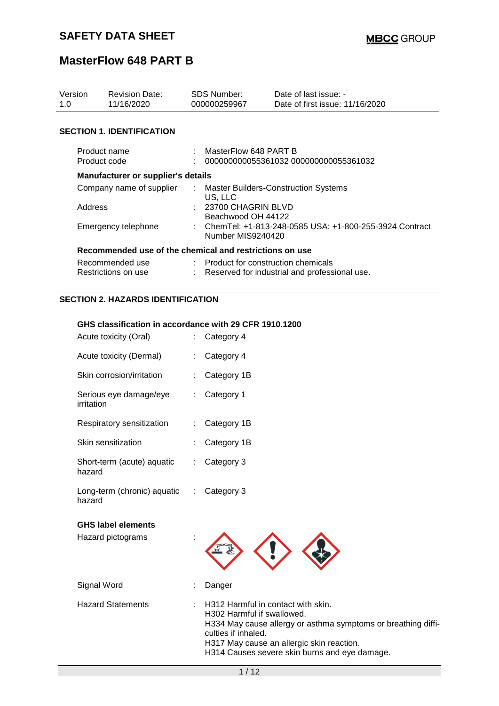| Version<br>1.0                         | <b>Revision Date:</b><br>11/16/2020                     | SDS Number:<br>000000259967                |                                                                               | Date of last issue: -<br>Date of first issue: 11/16/2020 |  |
|----------------------------------------|---------------------------------------------------------|--------------------------------------------|-------------------------------------------------------------------------------|----------------------------------------------------------|--|
|                                        | <b>SECTION 1. IDENTIFICATION</b>                        |                                            |                                                                               |                                                          |  |
| Product name<br>Product code           |                                                         |                                            | MasterFlow 648 PART B<br>000000000055361032 000000000055361032                |                                                          |  |
|                                        | Manufacturer or supplier's details                      |                                            |                                                                               |                                                          |  |
| Company name of supplier               |                                                         | ÷.                                         | <b>Master Builders-Construction Systems</b><br>US, LLC                        |                                                          |  |
| Address                                |                                                         | : 23700 CHAGRIN BLVD<br>Beachwood OH 44122 |                                                                               |                                                          |  |
| Emergency telephone                    |                                                         |                                            | : ChemTel: +1-813-248-0585 USA: +1-800-255-3924 Contract<br>Number MIS9240420 |                                                          |  |
|                                        | Recommended use of the chemical and restrictions on use |                                            |                                                                               |                                                          |  |
| Recommended use<br>Restrictions on use |                                                         |                                            | : Product for construction chemicals                                          | Reserved for industrial and professional use.            |  |

### **SECTION 2. HAZARDS IDENTIFICATION**

#### **GHS classification in accordance with 29 CFR 1910.1200**

| Acute toxicity (Oral)                          |   | Category 4                                                                                                                                                                                                                                             |
|------------------------------------------------|---|--------------------------------------------------------------------------------------------------------------------------------------------------------------------------------------------------------------------------------------------------------|
| Acute toxicity (Dermal)                        |   | Category 4                                                                                                                                                                                                                                             |
| Skin corrosion/irritation                      |   | Category 1B                                                                                                                                                                                                                                            |
| Serious eye damage/eye<br>irritation           |   | Category 1                                                                                                                                                                                                                                             |
| Respiratory sensitization                      |   | Category 1B                                                                                                                                                                                                                                            |
| Skin sensitization                             |   | Category 1B                                                                                                                                                                                                                                            |
| Short-term (acute) aquatic<br>hazard           |   | Category 3                                                                                                                                                                                                                                             |
| Long-term (chronic) aquatic<br>hazard          | ÷ | Category 3                                                                                                                                                                                                                                             |
| <b>GHS label elements</b><br>Hazard pictograms |   |                                                                                                                                                                                                                                                        |
| Signal Word                                    |   | Danger                                                                                                                                                                                                                                                 |
| <b>Hazard Statements</b>                       |   | H312 Harmful in contact with skin.<br>H302 Harmful if swallowed.<br>H334 May cause allergy or asthma symptoms or breathing diffi-<br>culties if inhaled.<br>H317 May cause an allergic skin reaction.<br>H314 Causes severe skin burns and eye damage. |
|                                                |   | 1/12                                                                                                                                                                                                                                                   |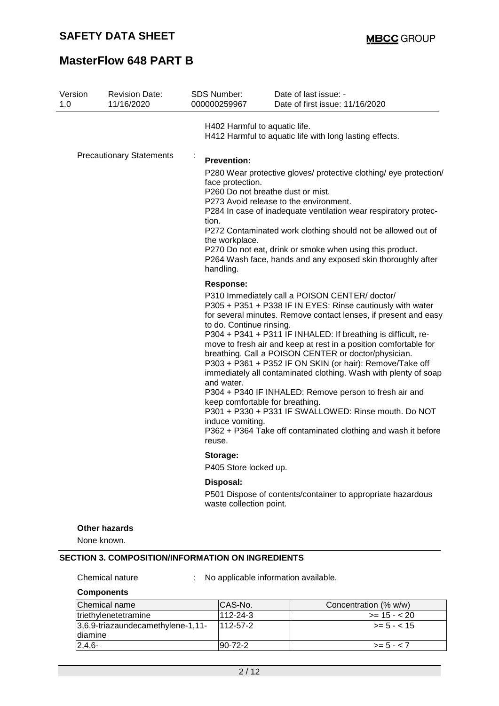| Version<br>1.0 | <b>Revision Date:</b><br>11/16/2020 | SDS Number:<br>000000259967                                                                                              | Date of last issue: -<br>Date of first issue: 11/16/2020                                                                                                                                                                                                                                                                                                                                                                                                                                                                                                                                                                                                                                      |
|----------------|-------------------------------------|--------------------------------------------------------------------------------------------------------------------------|-----------------------------------------------------------------------------------------------------------------------------------------------------------------------------------------------------------------------------------------------------------------------------------------------------------------------------------------------------------------------------------------------------------------------------------------------------------------------------------------------------------------------------------------------------------------------------------------------------------------------------------------------------------------------------------------------|
|                |                                     | H402 Harmful to aquatic life.                                                                                            | H412 Harmful to aquatic life with long lasting effects.                                                                                                                                                                                                                                                                                                                                                                                                                                                                                                                                                                                                                                       |
|                | <b>Precautionary Statements</b>     | ÷<br><b>Prevention:</b><br>face protection.<br>P260 Do not breathe dust or mist.<br>tion.<br>the workplace.<br>handling. | P280 Wear protective gloves/ protective clothing/ eye protection/<br>P273 Avoid release to the environment.<br>P284 In case of inadequate ventilation wear respiratory protec-<br>P272 Contaminated work clothing should not be allowed out of<br>P270 Do not eat, drink or smoke when using this product.<br>P264 Wash face, hands and any exposed skin thoroughly after                                                                                                                                                                                                                                                                                                                     |
|                |                                     | <b>Response:</b>                                                                                                         |                                                                                                                                                                                                                                                                                                                                                                                                                                                                                                                                                                                                                                                                                               |
|                |                                     | to do. Continue rinsing.<br>and water.<br>keep comfortable for breathing.<br>induce vomiting.<br>reuse.                  | P310 Immediately call a POISON CENTER/doctor/<br>P305 + P351 + P338 IF IN EYES: Rinse cautiously with water<br>for several minutes. Remove contact lenses, if present and easy<br>P304 + P341 + P311 IF INHALED: If breathing is difficult, re-<br>move to fresh air and keep at rest in a position comfortable for<br>breathing. Call a POISON CENTER or doctor/physician.<br>P303 + P361 + P352 IF ON SKIN (or hair): Remove/Take off<br>immediately all contaminated clothing. Wash with plenty of soap<br>P304 + P340 IF INHALED: Remove person to fresh air and<br>P301 + P330 + P331 IF SWALLOWED: Rinse mouth. Do NOT<br>P362 + P364 Take off contaminated clothing and wash it before |
|                |                                     | Storage:                                                                                                                 |                                                                                                                                                                                                                                                                                                                                                                                                                                                                                                                                                                                                                                                                                               |
|                |                                     | P405 Store locked up.                                                                                                    |                                                                                                                                                                                                                                                                                                                                                                                                                                                                                                                                                                                                                                                                                               |
|                |                                     | Disposal:<br>waste collection point.                                                                                     | P501 Dispose of contents/container to appropriate hazardous                                                                                                                                                                                                                                                                                                                                                                                                                                                                                                                                                                                                                                   |
|                | <b>Other hazards</b><br>None known. |                                                                                                                          |                                                                                                                                                                                                                                                                                                                                                                                                                                                                                                                                                                                                                                                                                               |

### **SECTION 3. COMPOSITION/INFORMATION ON INGREDIENTS**

Chemical nature : No applicable information available.

#### **Components**

| Chemical name                                | ICAS-No.        | Concentration (% w/w) |
|----------------------------------------------|-----------------|-----------------------|
| triethylenetetramine                         | 112-24-3        | $>= 15 - 20$          |
| 3,6,9-triazaundecamethylene-1,11-<br>diamine | $1112 - 57 - 2$ | $\ge$ = 5 - < 15      |
| $2,4,6-$                                     | $ 90-72-2 $     | $>= 5 - < 7$          |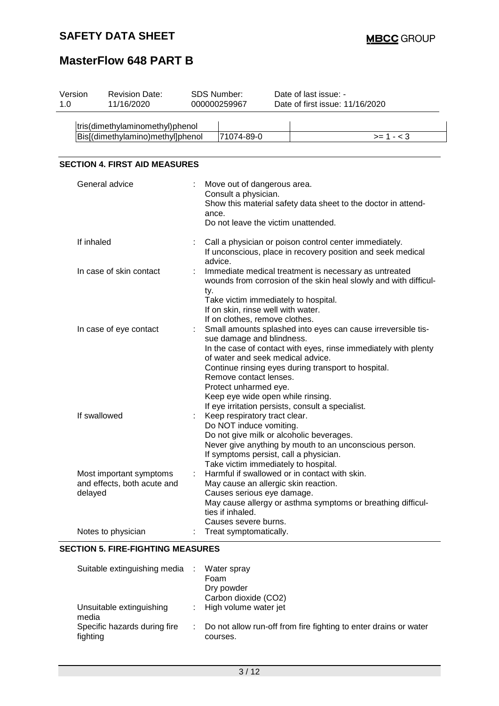## **SAFETY DATA SHEET**

# **MasterFlow 648 PART B**

| 1.0 | Version                              | <b>Revision Date:</b><br>11/16/2020                    |  | <b>SDS Number:</b><br>000000259967                                                                                                                                                     |  | Date of last issue: -<br>Date of first issue: 11/16/2020                                                                                                                                                                                    |  |  |  |
|-----|--------------------------------------|--------------------------------------------------------|--|----------------------------------------------------------------------------------------------------------------------------------------------------------------------------------------|--|---------------------------------------------------------------------------------------------------------------------------------------------------------------------------------------------------------------------------------------------|--|--|--|
|     |                                      | tris(dimethylaminomethyl)phenol                        |  |                                                                                                                                                                                        |  |                                                                                                                                                                                                                                             |  |  |  |
|     |                                      | Bis[(dimethylamino)methyl]phenol                       |  | 71074-89-0                                                                                                                                                                             |  | $>= 1 - 3$                                                                                                                                                                                                                                  |  |  |  |
|     | <b>SECTION 4. FIRST AID MEASURES</b> |                                                        |  |                                                                                                                                                                                        |  |                                                                                                                                                                                                                                             |  |  |  |
|     |                                      | General advice                                         |  | Move out of dangerous area.<br>Consult a physician.<br>ance.<br>Do not leave the victim unattended.                                                                                    |  | Show this material safety data sheet to the doctor in attend-                                                                                                                                                                               |  |  |  |
|     | If inhaled                           |                                                        |  | advice.                                                                                                                                                                                |  | Call a physician or poison control center immediately.<br>If unconscious, place in recovery position and seek medical                                                                                                                       |  |  |  |
|     |                                      | In case of skin contact                                |  | ty.<br>Take victim immediately to hospital.<br>If on skin, rinse well with water.<br>If on clothes, remove clothes.                                                                    |  | Immediate medical treatment is necessary as untreated<br>wounds from corrosion of the skin heal slowly and with difficul-                                                                                                                   |  |  |  |
|     |                                      | In case of eye contact                                 |  | sue damage and blindness.<br>of water and seek medical advice.<br>Remove contact lenses.<br>Protect unharmed eye.<br>Keep eye wide open while rinsing.                                 |  | Small amounts splashed into eyes can cause irreversible tis-<br>In the case of contact with eyes, rinse immediately with plenty<br>Continue rinsing eyes during transport to hospital.<br>If eye irritation persists, consult a specialist. |  |  |  |
|     | If swallowed                         |                                                        |  | Keep respiratory tract clear.<br>Do NOT induce vomiting.<br>Do not give milk or alcoholic beverages.<br>If symptoms persist, call a physician.<br>Take victim immediately to hospital. |  | Never give anything by mouth to an unconscious person.                                                                                                                                                                                      |  |  |  |
|     | delayed                              | Most important symptoms<br>and effects, both acute and |  | May cause an allergic skin reaction.<br>Causes serious eye damage.<br>ties if inhaled.<br>Causes severe burns.                                                                         |  | Harmful if swallowed or in contact with skin.<br>May cause allergy or asthma symptoms or breathing difficul-                                                                                                                                |  |  |  |
|     |                                      | Notes to physician                                     |  | Treat symptomatically.                                                                                                                                                                 |  |                                                                                                                                                                                                                                             |  |  |  |

#### **SECTION 5. FIRE-FIGHTING MEASURES**

| Suitable extinguishing media             | Water spray<br>Foam<br>Dry powder<br>Carbon dioxide (CO2)                      |
|------------------------------------------|--------------------------------------------------------------------------------|
| Unsuitable extinguishing<br>media        | : High volume water jet                                                        |
| Specific hazards during fire<br>fighting | : Do not allow run-off from fire fighting to enter drains or water<br>courses. |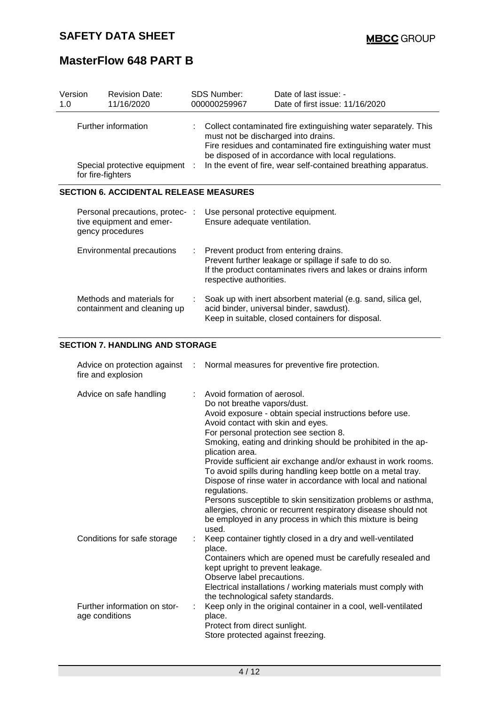| Version<br>1.0                                                             |                           | <b>Revision Date:</b><br>11/16/2020                                             |                                                                                                                                                                                                                                                                                                 | <b>SDS Number:</b><br>000000259967                                                                                                                                                         | Date of last issue: -<br>Date of first issue: 11/16/2020                                                                                                       |
|----------------------------------------------------------------------------|---------------------------|---------------------------------------------------------------------------------|-------------------------------------------------------------------------------------------------------------------------------------------------------------------------------------------------------------------------------------------------------------------------------------------------|--------------------------------------------------------------------------------------------------------------------------------------------------------------------------------------------|----------------------------------------------------------------------------------------------------------------------------------------------------------------|
| Further information<br>Special protective equipment :<br>for fire-fighters |                           |                                                                                 | Collect contaminated fire extinguishing water separately. This<br>must not be discharged into drains.<br>Fire residues and contaminated fire extinguishing water must<br>be disposed of in accordance with local regulations.<br>In the event of fire, wear self-contained breathing apparatus. |                                                                                                                                                                                            |                                                                                                                                                                |
| <b>SECTION 6. ACCIDENTAL RELEASE MEASURES</b>                              |                           |                                                                                 |                                                                                                                                                                                                                                                                                                 |                                                                                                                                                                                            |                                                                                                                                                                |
|                                                                            |                           | Personal precautions, protec- :<br>tive equipment and emer-<br>gency procedures |                                                                                                                                                                                                                                                                                                 | Use personal protective equipment.<br>Ensure adequate ventilation.                                                                                                                         |                                                                                                                                                                |
|                                                                            | Environmental precautions |                                                                                 | ÷.                                                                                                                                                                                                                                                                                              | Prevent product from entering drains.<br>Prevent further leakage or spillage if safe to do so.<br>If the product contaminates rivers and lakes or drains inform<br>respective authorities. |                                                                                                                                                                |
|                                                                            |                           | Methods and materials for<br>containment and cleaning up                        |                                                                                                                                                                                                                                                                                                 |                                                                                                                                                                                            | Soak up with inert absorbent material (e.g. sand, silica gel,<br>acid binder, universal binder, sawdust).<br>Keep in suitable, closed containers for disposal. |

### **SECTION 7. HANDLING AND STORAGE**

| fire and explosion                             |    | Advice on protection against : Normal measures for preventive fire protection.                                                                                                                                                                                                                                                                                                                                                                                                                                                                                                                                                                                                                                     |
|------------------------------------------------|----|--------------------------------------------------------------------------------------------------------------------------------------------------------------------------------------------------------------------------------------------------------------------------------------------------------------------------------------------------------------------------------------------------------------------------------------------------------------------------------------------------------------------------------------------------------------------------------------------------------------------------------------------------------------------------------------------------------------------|
| Advice on safe handling                        | t. | Avoid formation of aerosol.<br>Do not breathe vapors/dust.<br>Avoid exposure - obtain special instructions before use.<br>Avoid contact with skin and eyes.<br>For personal protection see section 8.<br>Smoking, eating and drinking should be prohibited in the ap-<br>plication area.<br>Provide sufficient air exchange and/or exhaust in work rooms.<br>To avoid spills during handling keep bottle on a metal tray.<br>Dispose of rinse water in accordance with local and national<br>regulations.<br>Persons susceptible to skin sensitization problems or asthma,<br>allergies, chronic or recurrent respiratory disease should not<br>be employed in any process in which this mixture is being<br>used. |
| Conditions for safe storage                    |    | Keep container tightly closed in a dry and well-ventilated<br>place.<br>Containers which are opened must be carefully resealed and<br>kept upright to prevent leakage.<br>Observe label precautions.<br>Electrical installations / working materials must comply with<br>the technological safety standards.                                                                                                                                                                                                                                                                                                                                                                                                       |
| Further information on stor-<br>age conditions |    | Keep only in the original container in a cool, well-ventilated<br>place.<br>Protect from direct sunlight.<br>Store protected against freezing.                                                                                                                                                                                                                                                                                                                                                                                                                                                                                                                                                                     |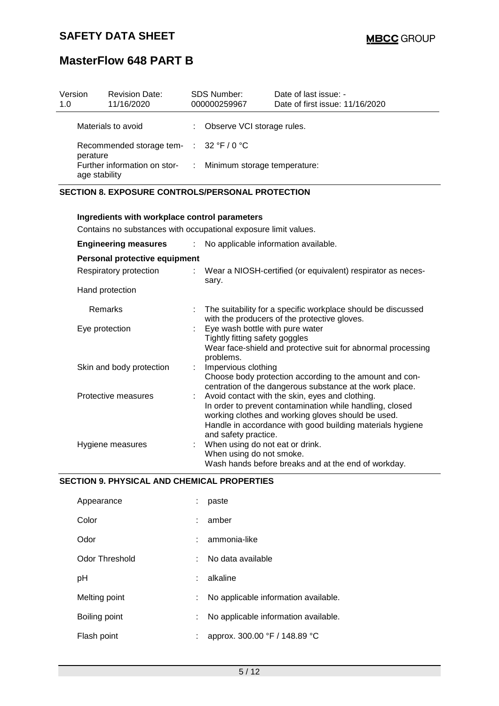| Version<br>1.0                                                 | <b>Revision Date:</b><br>11/16/2020 | <b>SDS Number:</b><br>000000259967 |                              | Date of last issue: -<br>Date of first issue: 11/16/2020 |
|----------------------------------------------------------------|-------------------------------------|------------------------------------|------------------------------|----------------------------------------------------------|
|                                                                | Materials to avoid                  |                                    | : Observe VCI storage rules. |                                                          |
| Recommended storage tem- $\therefore$ 32 °F / 0 °C<br>perature |                                     |                                    |                              |                                                          |
| Further information on stor-<br>age stability                  |                                     | $\mathcal{L}$                      | Minimum storage temperature: |                                                          |

### **SECTION 8. EXPOSURE CONTROLS/PERSONAL PROTECTION**

| Ingredients with workplace control parameters                                                       |  |                                                                                                                                                                                                                                                        |  |  |  |  |  |
|-----------------------------------------------------------------------------------------------------|--|--------------------------------------------------------------------------------------------------------------------------------------------------------------------------------------------------------------------------------------------------------|--|--|--|--|--|
| Contains no substances with occupational exposure limit values.                                     |  |                                                                                                                                                                                                                                                        |  |  |  |  |  |
| <b>Engineering measures</b><br>No applicable information available.<br>$\mathcal{L}_{\mathrm{eff}}$ |  |                                                                                                                                                                                                                                                        |  |  |  |  |  |
| Personal protective equipment                                                                       |  |                                                                                                                                                                                                                                                        |  |  |  |  |  |
| Respiratory protection                                                                              |  | : Wear a NIOSH-certified (or equivalent) respirator as neces-<br>sary.                                                                                                                                                                                 |  |  |  |  |  |
| Hand protection                                                                                     |  |                                                                                                                                                                                                                                                        |  |  |  |  |  |
| Remarks                                                                                             |  | The suitability for a specific workplace should be discussed<br>with the producers of the protective gloves.                                                                                                                                           |  |  |  |  |  |
| Eye protection                                                                                      |  | Eye wash bottle with pure water<br>Tightly fitting safety goggles<br>Wear face-shield and protective suit for abnormal processing<br>problems.                                                                                                         |  |  |  |  |  |
| Skin and body protection                                                                            |  | Impervious clothing<br>Choose body protection according to the amount and con-<br>centration of the dangerous substance at the work place.                                                                                                             |  |  |  |  |  |
| Protective measures                                                                                 |  | Avoid contact with the skin, eyes and clothing.<br>In order to prevent contamination while handling, closed<br>working clothes and working gloves should be used.<br>Handle in accordance with good building materials hygiene<br>and safety practice. |  |  |  |  |  |
| Hygiene measures                                                                                    |  | When using do not eat or drink.<br>When using do not smoke.<br>Wash hands before breaks and at the end of workday.                                                                                                                                     |  |  |  |  |  |

### **SECTION 9. PHYSICAL AND CHEMICAL PROPERTIES**

| Appearance     |    | paste                                |
|----------------|----|--------------------------------------|
| Color          |    | amber                                |
| Odor           |    | ammonia-like                         |
| Odor Threshold | t  | No data available                    |
| рH             |    | alkaline                             |
| Melting point  | t. | No applicable information available. |
| Boiling point  |    | No applicable information available. |
| Flash point    |    | approx. 300.00 °F / 148.89 °C        |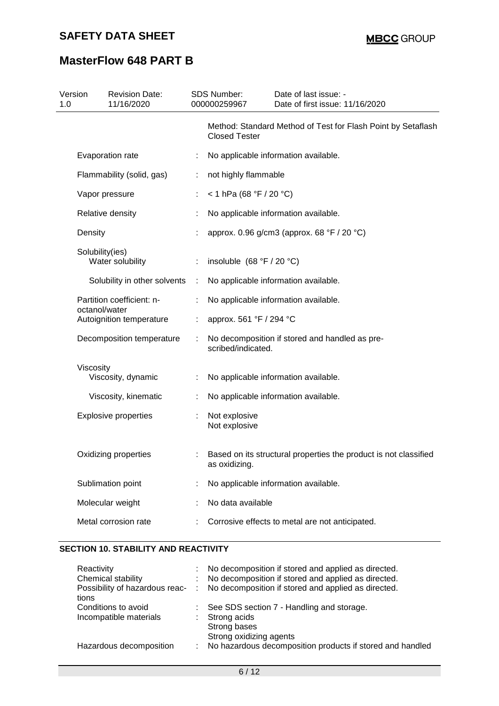| Version<br>1.0   | <b>Revision Date:</b><br>11/16/2020 |   | <b>SDS Number:</b><br>000000259967 | Date of last issue: -<br>Date of first issue: 11/16/2020         |
|------------------|-------------------------------------|---|------------------------------------|------------------------------------------------------------------|
|                  |                                     |   | <b>Closed Tester</b>               | Method: Standard Method of Test for Flash Point by Setaflash     |
| Evaporation rate |                                     | ÷ |                                    | No applicable information available.                             |
|                  | Flammability (solid, gas)           | ÷ | not highly flammable               |                                                                  |
| Vapor pressure   |                                     |   | < 1 hPa (68 °F / 20 °C)            |                                                                  |
| Relative density |                                     |   |                                    | No applicable information available.                             |
| Density          |                                     |   |                                    | approx. 0.96 g/cm3 (approx. 68 °F / 20 °C)                       |
| Solubility(ies)  | Water solubility                    |   | insoluble $(68 °F / 20 °C)$        |                                                                  |
|                  | Solubility in other solvents        | ÷ |                                    | No applicable information available.                             |
| octanol/water    | Partition coefficient: n-           |   |                                    | No applicable information available.                             |
|                  | Autoignition temperature            |   | approx. 561 °F / 294 °C            |                                                                  |
|                  | Decomposition temperature           | ÷ | scribed/indicated.                 | No decomposition if stored and handled as pre-                   |
| Viscosity        | Viscosity, dynamic                  | ÷ |                                    | No applicable information available.                             |
|                  | Viscosity, kinematic                |   |                                    | No applicable information available.                             |
|                  | <b>Explosive properties</b>         |   | Not explosive<br>Not explosive     |                                                                  |
|                  | Oxidizing properties                |   | as oxidizing.                      | Based on its structural properties the product is not classified |
|                  | Sublimation point                   |   |                                    | No applicable information available.                             |
| Molecular weight |                                     |   | No data available                  |                                                                  |
|                  | Metal corrosion rate                |   |                                    | Corrosive effects to metal are not anticipated.                  |

### **SECTION 10. STABILITY AND REACTIVITY**

| Reactivity              | : No decomposition if stored and applied as directed.                                |
|-------------------------|--------------------------------------------------------------------------------------|
| Chemical stability      | : No decomposition if stored and applied as directed.                                |
|                         | Possibility of hazardous reac- : No decomposition if stored and applied as directed. |
| tions                   |                                                                                      |
| Conditions to avoid     | : See SDS section 7 - Handling and storage.                                          |
| Incompatible materials  | : Strong acids                                                                       |
|                         | Strong bases                                                                         |
|                         | Strong oxidizing agents                                                              |
| Hazardous decomposition | No hazardous decomposition products if stored and handled                            |
|                         |                                                                                      |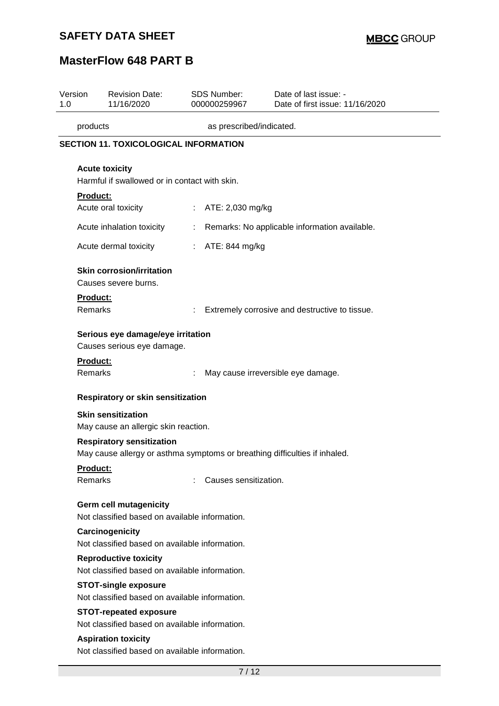# **SAFETY DATA SHEET**

# **MasterFlow 648 PART B**

| Version<br>1.0                                                                 | <b>Revision Date:</b><br>11/16/2020                                             | <b>SDS Number:</b><br>000000259967 | Date of last issue: -<br>Date of first issue: 11/16/2020                   |  |  |  |  |
|--------------------------------------------------------------------------------|---------------------------------------------------------------------------------|------------------------------------|----------------------------------------------------------------------------|--|--|--|--|
|                                                                                | as prescribed/indicated.<br>products                                            |                                    |                                                                            |  |  |  |  |
|                                                                                | <b>SECTION 11. TOXICOLOGICAL INFORMATION</b>                                    |                                    |                                                                            |  |  |  |  |
|                                                                                | <b>Acute toxicity</b><br>Harmful if swallowed or in contact with skin.          |                                    |                                                                            |  |  |  |  |
| <b>Product:</b>                                                                |                                                                                 |                                    |                                                                            |  |  |  |  |
|                                                                                | Acute oral toxicity                                                             | ATE: 2,030 mg/kg<br>t.             |                                                                            |  |  |  |  |
|                                                                                | Acute inhalation toxicity                                                       | t                                  | Remarks: No applicable information available.                              |  |  |  |  |
|                                                                                | Acute dermal toxicity                                                           | ATE: 844 mg/kg<br>÷                |                                                                            |  |  |  |  |
|                                                                                | <b>Skin corrosion/irritation</b><br>Causes severe burns.                        |                                    |                                                                            |  |  |  |  |
| <b>Product:</b><br>Remarks                                                     |                                                                                 |                                    | Extremely corrosive and destructive to tissue.                             |  |  |  |  |
|                                                                                | Serious eye damage/eye irritation<br>Causes serious eye damage.                 |                                    |                                                                            |  |  |  |  |
| Product:<br>Remarks                                                            |                                                                                 |                                    | May cause irreversible eye damage.                                         |  |  |  |  |
|                                                                                | Respiratory or skin sensitization                                               |                                    |                                                                            |  |  |  |  |
|                                                                                | <b>Skin sensitization</b><br>May cause an allergic skin reaction.               |                                    |                                                                            |  |  |  |  |
|                                                                                | <b>Respiratory sensitization</b>                                                |                                    | May cause allergy or asthma symptoms or breathing difficulties if inhaled. |  |  |  |  |
| <u>Product:</u><br>Remarks                                                     |                                                                                 | Causes sensitization.              |                                                                            |  |  |  |  |
|                                                                                | <b>Germ cell mutagenicity</b><br>Not classified based on available information. |                                    |                                                                            |  |  |  |  |
|                                                                                | Carcinogenicity<br>Not classified based on available information.               |                                    |                                                                            |  |  |  |  |
| <b>Reproductive toxicity</b><br>Not classified based on available information. |                                                                                 |                                    |                                                                            |  |  |  |  |
|                                                                                | <b>STOT-single exposure</b><br>Not classified based on available information.   |                                    |                                                                            |  |  |  |  |
|                                                                                | <b>STOT-repeated exposure</b>                                                   |                                    |                                                                            |  |  |  |  |
|                                                                                | Not classified based on available information.                                  |                                    |                                                                            |  |  |  |  |
|                                                                                | <b>Aspiration toxicity</b>                                                      |                                    |                                                                            |  |  |  |  |
|                                                                                | Not classified based on available information.                                  |                                    |                                                                            |  |  |  |  |
|                                                                                |                                                                                 | 7/12                               |                                                                            |  |  |  |  |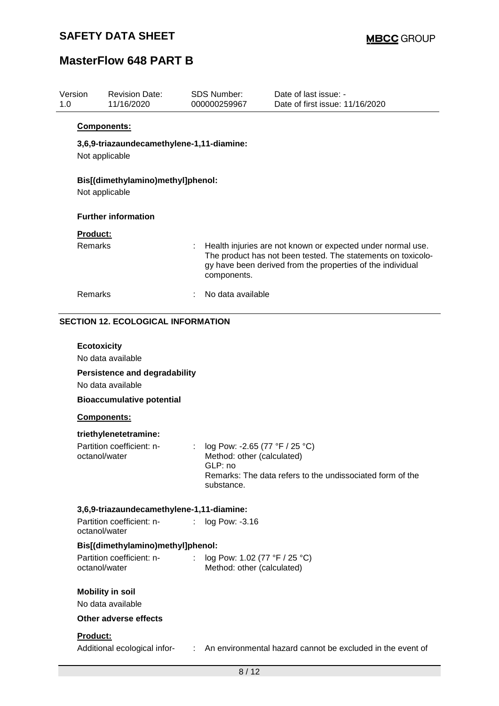| Version<br>1.0 | <b>Revision Date:</b><br>11/16/2020                         |                | <b>SDS Number:</b><br>000000259967                           | Date of last issue: -<br>Date of first issue: 11/16/2020                                                                                                                                  |
|----------------|-------------------------------------------------------------|----------------|--------------------------------------------------------------|-------------------------------------------------------------------------------------------------------------------------------------------------------------------------------------------|
|                | <b>Components:</b>                                          |                |                                                              |                                                                                                                                                                                           |
|                | 3,6,9-triazaundecamethylene-1,11-diamine:<br>Not applicable |                |                                                              |                                                                                                                                                                                           |
|                | Bis[(dimethylamino)methyl]phenol:<br>Not applicable         |                |                                                              |                                                                                                                                                                                           |
|                | <b>Further information</b>                                  |                |                                                              |                                                                                                                                                                                           |
|                | Product:                                                    |                |                                                              |                                                                                                                                                                                           |
|                | Remarks                                                     |                | components.                                                  | Health injuries are not known or expected under normal use.<br>The product has not been tested. The statements on toxicolo-<br>gy have been derived from the properties of the individual |
|                | Remarks                                                     |                | No data available                                            |                                                                                                                                                                                           |
|                | <b>SECTION 12. ECOLOGICAL INFORMATION</b>                   |                |                                                              |                                                                                                                                                                                           |
|                |                                                             |                |                                                              |                                                                                                                                                                                           |
|                | <b>Ecotoxicity</b><br>No data available                     |                |                                                              |                                                                                                                                                                                           |
|                | <b>Persistence and degradability</b><br>No data available   |                |                                                              |                                                                                                                                                                                           |
|                | <b>Bioaccumulative potential</b>                            |                |                                                              |                                                                                                                                                                                           |
|                | Components:                                                 |                |                                                              |                                                                                                                                                                                           |
|                | triethylenetetramine:                                       |                |                                                              |                                                                                                                                                                                           |
|                | Partition coefficient: n-<br>octanol/water                  | ÷              | log Pow: -2.65 (77 °F / 25 °C)<br>Method: other (calculated) |                                                                                                                                                                                           |
|                |                                                             |                | GLP: no<br>substance.                                        | Remarks: The data refers to the undissociated form of the                                                                                                                                 |
|                | 3,6,9-triazaundecamethylene-1,11-diamine:                   |                |                                                              |                                                                                                                                                                                           |
|                | Partition coefficient: n-<br>octanol/water                  | $\mathbb{R}^n$ | log Pow: -3.16                                               |                                                                                                                                                                                           |
|                | Bis[(dimethylamino)methyl]phenol:                           |                |                                                              |                                                                                                                                                                                           |
|                | Partition coefficient: n-<br>octanol/water                  | $\mathcal{L}$  | log Pow: 1.02 (77 °F / 25 °C)<br>Method: other (calculated)  |                                                                                                                                                                                           |
|                | <b>Mobility in soil</b><br>No data available                |                |                                                              |                                                                                                                                                                                           |
|                | Other adverse effects                                       |                |                                                              |                                                                                                                                                                                           |
|                | Product:                                                    |                |                                                              |                                                                                                                                                                                           |
|                | Additional ecological infor-                                |                |                                                              | An environmental hazard cannot be excluded in the event of                                                                                                                                |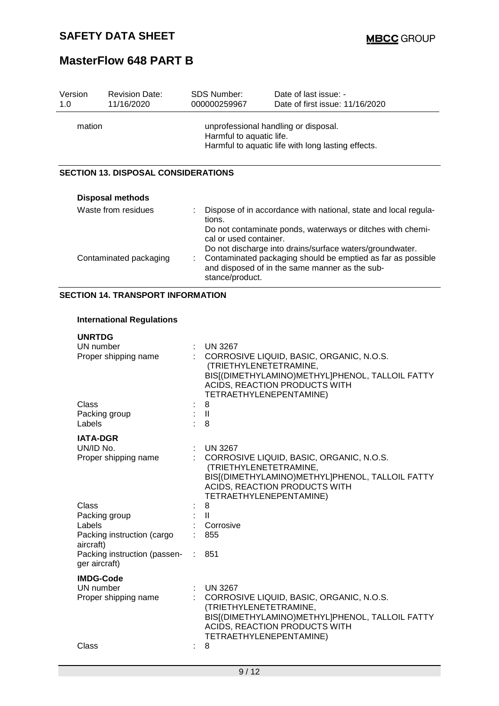| Version<br>1.0                             | <b>Revision Date:</b><br>11/16/2020                                                                                    | SDS Number:<br>000000259967            | Date of last issue: -<br>Date of first issue: 11/16/2020                                                                                                                                                                                                 |  |  |
|--------------------------------------------|------------------------------------------------------------------------------------------------------------------------|----------------------------------------|----------------------------------------------------------------------------------------------------------------------------------------------------------------------------------------------------------------------------------------------------------|--|--|
| mation                                     | unprofessional handling or disposal.<br>Harmful to aquatic life.<br>Harmful to aquatic life with long lasting effects. |                                        |                                                                                                                                                                                                                                                          |  |  |
| <b>SECTION 13. DISPOSAL CONSIDERATIONS</b> |                                                                                                                        |                                        |                                                                                                                                                                                                                                                          |  |  |
|                                            | <b>Disposal methods</b>                                                                                                |                                        |                                                                                                                                                                                                                                                          |  |  |
|                                            | Waste from residues<br>Contaminated packaging                                                                          | tions.<br>cal or used container.<br>÷. | Dispose of in accordance with national, state and local regula-<br>Do not contaminate ponds, waterways or ditches with chemi-<br>Do not discharge into drains/surface waters/groundwater.<br>Contaminated packaging should be emptied as far as possible |  |  |
|                                            |                                                                                                                        | stance/product.                        | and disposed of in the same manner as the sub-                                                                                                                                                                                                           |  |  |

### **SECTION 14. TRANSPORT INFORMATION**

### **International Regulations**

| <b>UNRTDG</b>                                 |      |                                                                                                                                                                                   |
|-----------------------------------------------|------|-----------------------------------------------------------------------------------------------------------------------------------------------------------------------------------|
| UN number                                     |      | <b>UN 3267</b>                                                                                                                                                                    |
| Proper shipping name                          |      | CORROSIVE LIQUID, BASIC, ORGANIC, N.O.S.<br>(TRIETHYLENETETRAMINE,<br>BIS[(DIMETHYLAMINO)METHYL]PHENOL, TALLOIL FATTY<br>ACIDS, REACTION PRODUCTS WITH<br>TETRAETHYLENEPENTAMINE) |
| Class                                         |      | 8                                                                                                                                                                                 |
| Packing group                                 |      | $\mathbf{I}$                                                                                                                                                                      |
| Labels                                        |      | 8                                                                                                                                                                                 |
| <b>IATA-DGR</b>                               |      |                                                                                                                                                                                   |
| UN/ID No.                                     |      | <b>UN 3267</b>                                                                                                                                                                    |
| Proper shipping name                          |      | CORROSIVE LIQUID, BASIC, ORGANIC, N.O.S.<br>(TRIETHYLENETETRAMINE,<br>BIS[(DIMETHYLAMINO)METHYL]PHENOL, TALLOIL FATTY<br>ACIDS, REACTION PRODUCTS WITH<br>TETRAETHYLENEPENTAMINE) |
| Class                                         |      | 8                                                                                                                                                                                 |
| Packing group                                 | : II |                                                                                                                                                                                   |
| Labels                                        |      | Corrosive                                                                                                                                                                         |
| Packing instruction (cargo<br>aircraft)       |      | 855                                                                                                                                                                               |
| Packing instruction (passen-<br>ger aircraft) |      | 851                                                                                                                                                                               |
| <b>IMDG-Code</b>                              |      |                                                                                                                                                                                   |
| UN number                                     |      | <b>UN 3267</b>                                                                                                                                                                    |
| Proper shipping name                          |      | CORROSIVE LIQUID, BASIC, ORGANIC, N.O.S.<br>(TRIETHYLENETETRAMINE,<br>BIS[(DIMETHYLAMINO)METHYL]PHENOL, TALLOIL FATTY<br>ACIDS, REACTION PRODUCTS WITH<br>TETRAETHYLENEPENTAMINE) |
| Class                                         |      | 8                                                                                                                                                                                 |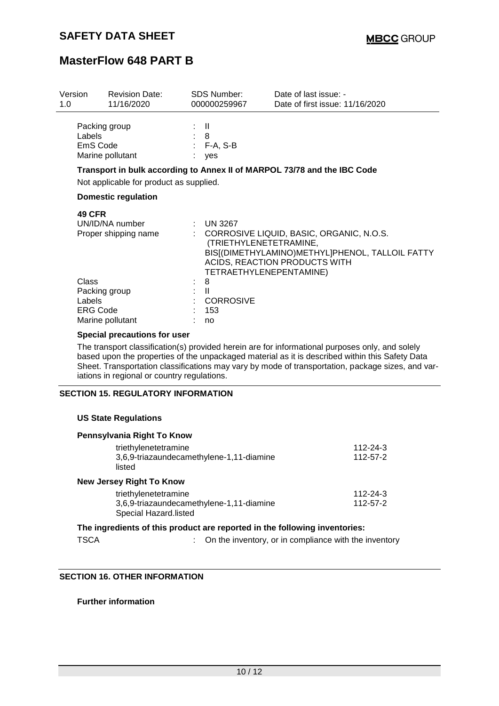| Version<br>1.0                     | <b>Revision Date:</b><br>11/16/2020     | <b>SDS Number:</b><br>000000259967                                  | Date of last issue: -<br>Date of first issue: 11/16/2020                                                                       |
|------------------------------------|-----------------------------------------|---------------------------------------------------------------------|--------------------------------------------------------------------------------------------------------------------------------|
| Labels<br>EmS Code                 | Packing group<br>Marine pollutant       | $\mathbf{I}$<br>: 8<br>$: F-A, S-B$<br>yes                          |                                                                                                                                |
|                                    | Not applicable for product as supplied. |                                                                     | Transport in bulk according to Annex II of MARPOL 73/78 and the IBC Code                                                       |
|                                    | <b>Domestic regulation</b>              |                                                                     |                                                                                                                                |
| <b>49 CFR</b>                      | UN/ID/NA number<br>Proper shipping name | <b>UN 3267</b><br>(TRIETHYLENETETRAMINE,<br>TETRAETHYLENEPENTAMINE) | : CORROSIVE LIQUID, BASIC, ORGANIC, N.O.S.<br>BIS[(DIMETHYLAMINO)METHYL]PHENOL, TALLOIL FATTY<br>ACIDS, REACTION PRODUCTS WITH |
| Class<br>Labels<br><b>ERG Code</b> | Packing group<br>Marine pollutant       | 8<br>H<br><b>CORROSIVE</b><br>153<br>no                             |                                                                                                                                |

### **Special precautions for user**

The transport classification(s) provided herein are for informational purposes only, and solely based upon the properties of the unpackaged material as it is described within this Safety Data Sheet. Transportation classifications may vary by mode of transportation, package sizes, and variations in regional or country regulations.

#### **SECTION 15. REGULATORY INFORMATION**

#### **US State Regulations**

| Pennsylvania Right To Know                                        |          |
|-------------------------------------------------------------------|----------|
| triethylenetetramine                                              | 112-24-3 |
| 3,6,9-triazaundecamethylene-1,11-diamine<br>listed                | 112-57-2 |
| <b>New Jersey Right To Know</b>                                   |          |
| triethylenetetramine                                              | 112-24-3 |
| 3,6,9-triazaundecamethylene-1,11-diamine<br>Special Hazard.listed | 112-57-2 |
|                                                                   |          |

### **The ingredients of this product are reported in the following inventories:**

TSCA : On the inventory, or in compliance with the inventory

### **SECTION 16. OTHER INFORMATION**

**Further information**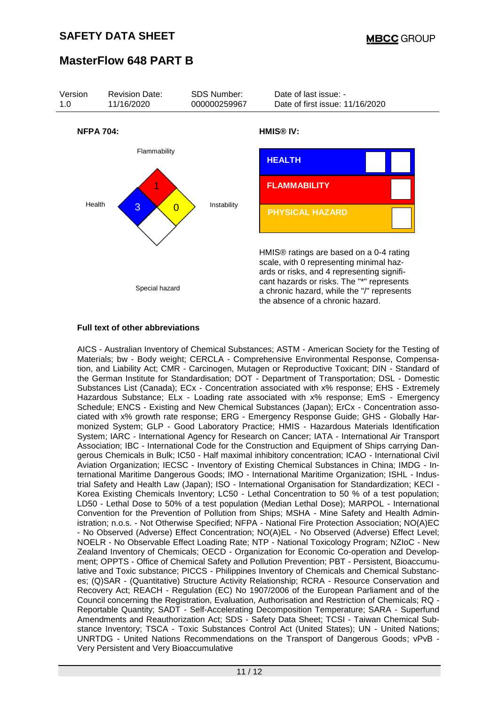

### **Full text of other abbreviations**

AICS - Australian Inventory of Chemical Substances; ASTM - American Society for the Testing of Materials; bw - Body weight; CERCLA - Comprehensive Environmental Response, Compensation, and Liability Act; CMR - Carcinogen, Mutagen or Reproductive Toxicant; DIN - Standard of the German Institute for Standardisation; DOT - Department of Transportation; DSL - Domestic Substances List (Canada); ECx - Concentration associated with x% response; EHS - Extremely Hazardous Substance; ELx - Loading rate associated with x% response; EmS - Emergency Schedule; ENCS - Existing and New Chemical Substances (Japan); ErCx - Concentration associated with x% growth rate response; ERG - Emergency Response Guide; GHS - Globally Harmonized System; GLP - Good Laboratory Practice; HMIS - Hazardous Materials Identification System; IARC - International Agency for Research on Cancer; IATA - International Air Transport Association; IBC - International Code for the Construction and Equipment of Ships carrying Dangerous Chemicals in Bulk; IC50 - Half maximal inhibitory concentration; ICAO - International Civil Aviation Organization; IECSC - Inventory of Existing Chemical Substances in China; IMDG - International Maritime Dangerous Goods; IMO - International Maritime Organization; ISHL - Industrial Safety and Health Law (Japan); ISO - International Organisation for Standardization; KECI - Korea Existing Chemicals Inventory; LC50 - Lethal Concentration to 50 % of a test population; LD50 - Lethal Dose to 50% of a test population (Median Lethal Dose); MARPOL - International Convention for the Prevention of Pollution from Ships; MSHA - Mine Safety and Health Administration; n.o.s. - Not Otherwise Specified; NFPA - National Fire Protection Association; NO(A)EC - No Observed (Adverse) Effect Concentration; NO(A)EL - No Observed (Adverse) Effect Level; NOELR - No Observable Effect Loading Rate; NTP - National Toxicology Program; NZIoC - New Zealand Inventory of Chemicals; OECD - Organization for Economic Co-operation and Development; OPPTS - Office of Chemical Safety and Pollution Prevention; PBT - Persistent, Bioaccumulative and Toxic substance; PICCS - Philippines Inventory of Chemicals and Chemical Substances; (Q)SAR - (Quantitative) Structure Activity Relationship; RCRA - Resource Conservation and Recovery Act; REACH - Regulation (EC) No 1907/2006 of the European Parliament and of the Council concerning the Registration, Evaluation, Authorisation and Restriction of Chemicals; RQ - Reportable Quantity; SADT - Self-Accelerating Decomposition Temperature; SARA - Superfund Amendments and Reauthorization Act; SDS - Safety Data Sheet; TCSI - Taiwan Chemical Substance Inventory; TSCA - Toxic Substances Control Act (United States); UN - United Nations; UNRTDG - United Nations Recommendations on the Transport of Dangerous Goods; vPvB - Very Persistent and Very Bioaccumulative